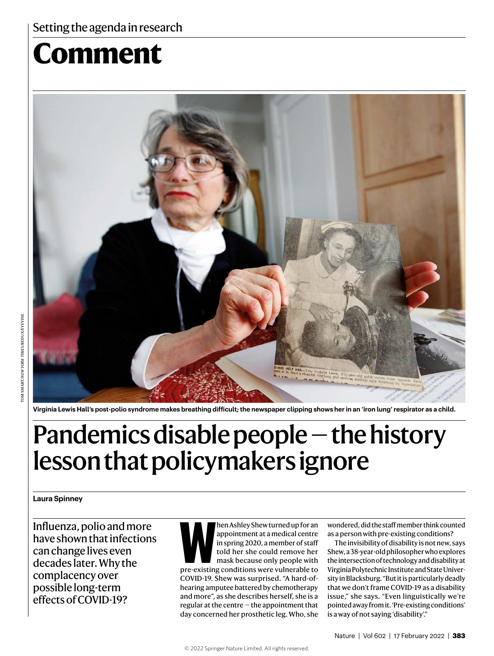## Setting the agenda in research

# **Comment**



**Virginia Lewis Hall's post-polio syndrome makes breathing difficult; the newspaper clipping shows her in an 'iron lung' respirator as a child.** 

# Pandemics disable people — the history lesson that policymakers ignore

#### **Laura Spinney**

Influenza, polio and more have shown that infections can change lives even decades later. Why the complacency over possible long-term effects of COVID-19?

**Men Ashley Shew turned up for an appointment at a medical centre in spring 2020, a member of staff told her she could remove her mask because only people with pre-existing conditions were vulnerable to** appointment at a medical centre in spring 2020, a member of staff told her she could remove her mask because only people with COVID-19. Shew was surprised. "A hard-ofhearing amputee battered by chemotherapy and more", as she describes herself, she is a regular at the centre — the appointment that day concerned her prosthetic leg. Who, she

wondered, did the staff member think counted as a person with pre-existing conditions?

The invisibility of disability is not new, says Shew, a 38-year-old philosopher who explores the intersection of technology and disability at Virginia Polytechnic Institute and State University in Blacksburg. "But it is particularly deadly that we don't frame COVID-19 as a disability issue," she says. "Even linguistically we're pointed away from it. 'Pre-existing conditions' is a way of not saying 'disability'."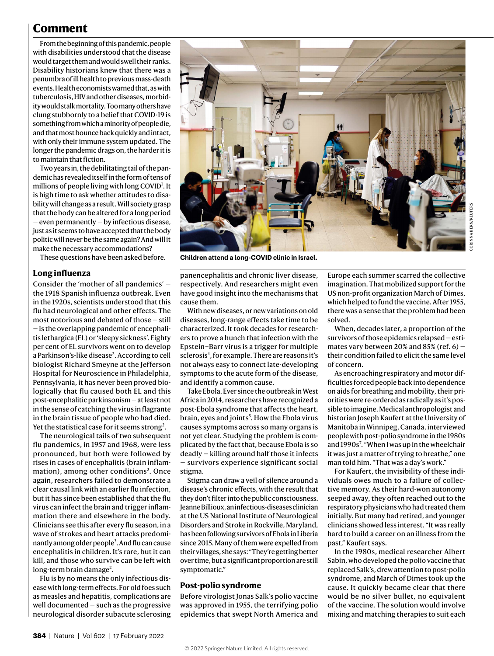### **Comment**

From the beginning of this pandemic, people with disabilities understood that the disease would target them and would swell their ranks. Disability historians knew that there was a penumbra of ill health to previous mass-death events. Health economists warned that, as with tuberculosis, HIV and other diseases, morbidity would stalk mortality. Too many others have clung stubbornly to a belief that COVID-19 is something from which a minority of people die, and that most bounce back quickly and intact, with only their immune system updated. The longer the pandemic drags on, the harder it is to maintain that fiction.

Two years in, the debilitating tail of the pandemic has revealed itself in the form of tens of millions of people living with long COVID<sup>1</sup>. It is high time to ask whether attitudes to disability will change as a result. Will society grasp that the body can be altered for a long period — even permanently — by infectious disease, just as it seems to have accepted that the body politic will never be the same again? And will it make the necessary accommodations?

These questions have been asked before.

#### **Long influenza**

Consider the 'mother of all pandemics' the 1918 Spanish influenza outbreak. Even in the 1920s, scientists understood that this flu had neurological and other effects. The most notorious and debated of those — still — is the overlapping pandemic of encephalitis lethargica (EL) or 'sleepy sickness'. Eighty per cent of EL survivors went on to develop a Parkinson's-like disease<sup>2</sup>. According to cell biologist Richard Smeyne at the Jefferson Hospital for Neuroscience in Philadelphia, Pennsylvania, it has never been proved biologically that flu caused both EL and this post-encephalitic parkinsonism — at least not in the sense of catching the virus in flagrante in the brain tissue of people who had died. Yet the statistical case for it seems strong<sup>2</sup>.

The neurological tails of two subsequent flu pandemics, in 1957 and 1968, were less pronounced, but both were followed by rises in cases of encephalitis (brain inflammation), among other conditions<sup>2</sup>. Once again, researchers failed to demonstrate a clear causal link with an earlier flu infection, but it has since been established that the flu virus can infect the brain and trigger inflammation there and elsewhere in the body. Clinicians see this after every flu season, in a wave of strokes and heart attacks predominantly among older people<sup>3</sup>. And flu can cause encephalitis in children. It's rare, but it can kill, and those who survive can be left with long-term brain damage<sup>2</sup>.

Flu is by no means the only infectious disease with long-term effects. For old foes such as measles and hepatitis, complications are well documented — such as the progressive neurological disorder subacute sclerosing



**Children attend a long-COVID clinic in Israel.**

panencephalitis and chronic liver disease, respectively. And researchers might even have good insight into the mechanisms that cause them.

With new diseases, or new variations on old diseases, long-range effects take time to be characterized. It took decades for researchers to prove a hunch that infection with the Epstein–Barr virus is a trigger for multiple sclerosis<sup>4</sup>, for example. There are reasons it's not always easy to connect late-developing symptoms to the acute form of the disease, and identify a common cause.

Take Ebola. Ever since the outbreak in West Africa in 2014, researchers have recognized a post-Ebola syndrome that affects the heart, brain, eyes and joints<sup>5</sup>. How the Ebola virus causes symptoms across so many organs is not yet clear. Studying the problem is complicated by the fact that, because Ebola is so deadly — killing around half those it infects — survivors experience significant social stigma.

Stigma can draw a veil of silence around a disease's chronic effects, with the result that they don't filter into the public consciousness. Jeanne Billioux, an infectious-diseases clinician at the US National Institute of Neurological Disorders and Stroke in Rockville, Maryland, has been following survivors of Ebola in Liberia since 2015. Many of them were expelled from their villages, she says: "They're getting better over time, but a significant proportion are still symptomatic."

#### **Post-polio syndrome**

Before virologist Jonas Salk's polio vaccine was approved in 1955, the terrifying polio epidemics that swept North America and Europe each summer scarred the collective imagination. That mobilized support for the US non-profit organization March of Dimes, which helped to fund the vaccine. After 1955, there was a sense that the problem had been solved.

When, decades later, a proportion of the survivors of those epidemics relapsed — estimates vary between 20% and 85% (ref.  $6$ ) – their condition failed to elicit the same level of concern.

As encroaching respiratory and motor difficulties forced people back into dependence on aids for breathing and mobility, their priorities were re-ordered as radically as it's possible to imagine. Medical anthropologist and historian Joseph Kaufert at the University of Manitoba in Winnipeg, Canada, interviewed people with post-polio syndrome in the 1980s and 1990s<sup>7</sup>. "When I was up in the wheelchair it was just a matter of trying to breathe," one man told him. "That was a day's work."

For Kaufert, the invisibility of these individuals owes much to a failure of collective memory. As their hard-won autonomy seeped away, they often reached out to the respiratory physicians who had treated them initially. But many had retired, and younger clinicians showed less interest. "It was really hard to build a career on an illness from the past," Kaufert says.

In the 1980s, medical researcher Albert Sabin, who developed the polio vaccine that replaced Salk's, drew attention to post-polio syndrome, and March of Dimes took up the cause. It quickly became clear that there would be no silver bullet, no equivalent of the vaccine. The solution would involve mixing and matching therapies to suit each